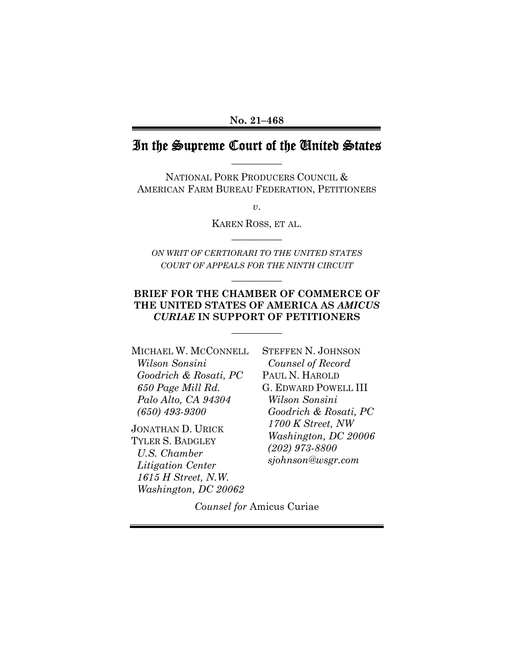#### **No. 21–468**

## In the Supreme Court of the United States **\_\_\_\_\_\_\_\_\_\_**

NATIONAL PORK PRODUCERS COUNCIL & AMERICAN FARM BUREAU FEDERATION, PETITIONERS

*v*.

KAREN ROSS, ET AL. **\_\_\_\_\_\_\_\_\_\_**

*ON WRIT OF CERTIORARI TO THE UNITED STATES COURT OF APPEALS FOR THE NINTH CIRCUIT*

**\_\_\_\_\_\_\_\_\_\_**

## **BRIEF FOR THE CHAMBER OF COMMERCE OF THE UNITED STATES OF AMERICA AS** *AMICUS CURIAE* **IN SUPPORT OF PETITIONERS**

**\_\_\_\_\_\_\_\_\_\_**

MICHAEL W. MCCONNELL  *Wilson Sonsini Goodrich & Rosati, PC 650 Page Mill Rd. Palo Alto, CA 94304 (650) 493-9300* 

JONATHAN D. URICK TYLER S. BADGLEY  *U.S. Chamber Litigation Center 1615 H Street, N.W. Washington, DC 20062* 

STEFFEN N. JOHNSON  *Counsel of Record*  PAUL N. HAROLD G. EDWARD POWELL III  *Wilson Sonsini Goodrich & Rosati, PC 1700 K Street, NW Washington, DC 20006 (202) 973-8800 sjohnson@wsgr.com*

*Counsel for* Amicus Curiae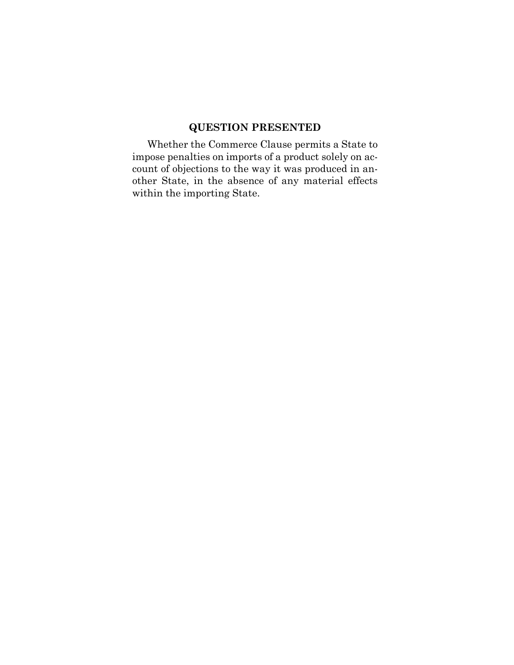## **QUESTION PRESENTED**

Whether the Commerce Clause permits a State to impose penalties on imports of a product solely on account of objections to the way it was produced in another State, in the absence of any material effects within the importing State.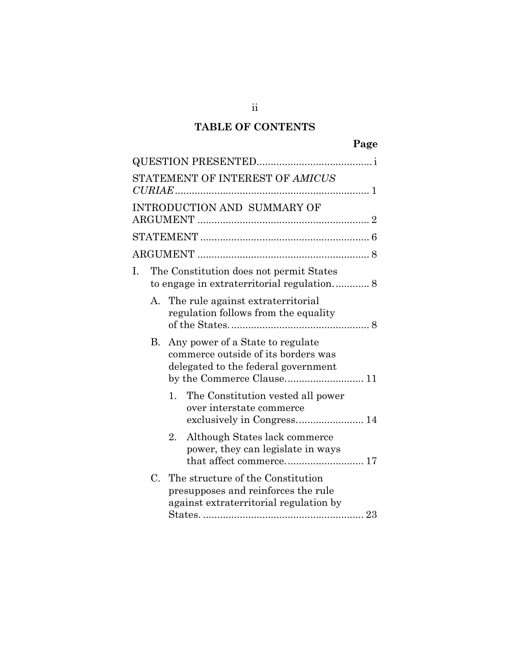## **TABLE OF CONTENTS**

|    |             | STATEMENT OF INTEREST OF AMICUS                                                                                                                |
|----|-------------|------------------------------------------------------------------------------------------------------------------------------------------------|
|    |             | INTRODUCTION AND SUMMARY OF                                                                                                                    |
|    |             |                                                                                                                                                |
|    |             |                                                                                                                                                |
| I. |             | The Constitution does not permit States                                                                                                        |
|    |             | A. The rule against extraterritorial<br>regulation follows from the equality                                                                   |
|    |             | B. Any power of a State to regulate<br>commerce outside of its borders was<br>delegated to the federal government<br>by the Commerce Clause 11 |
|    |             | The Constitution vested all power<br>1.<br>over interstate commerce<br>exclusively in Congress 14                                              |
|    |             | Although States lack commerce<br>2.<br>power, they can legislate in ways                                                                       |
|    | $C_{\cdot}$ | The structure of the Constitution<br>presupposes and reinforces the rule<br>against extraterritorial regulation by                             |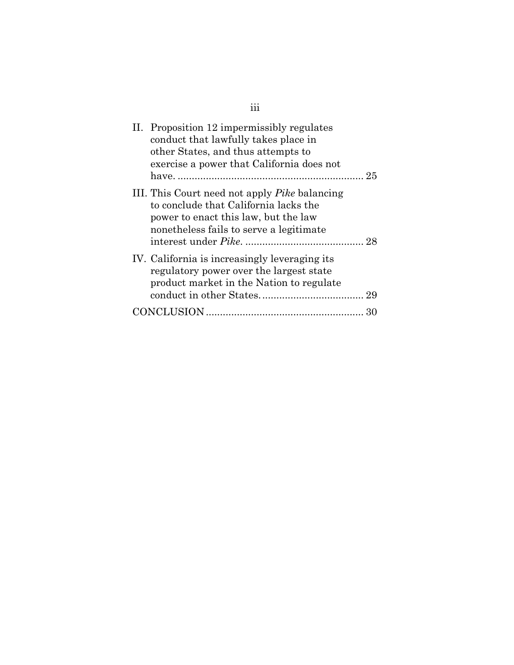| II. Proposition 12 impermissibly regulates<br>conduct that lawfully takes place in<br>other States, and thus attempts to<br>exercise a power that California does not            |  |
|----------------------------------------------------------------------------------------------------------------------------------------------------------------------------------|--|
| III. This Court need not apply <i>Pike</i> balancing<br>to conclude that California lacks the<br>power to enact this law, but the law<br>nonetheless fails to serve a legitimate |  |
| IV. California is increasingly leveraging its<br>regulatory power over the largest state<br>product market in the Nation to regulate                                             |  |
|                                                                                                                                                                                  |  |
|                                                                                                                                                                                  |  |

iii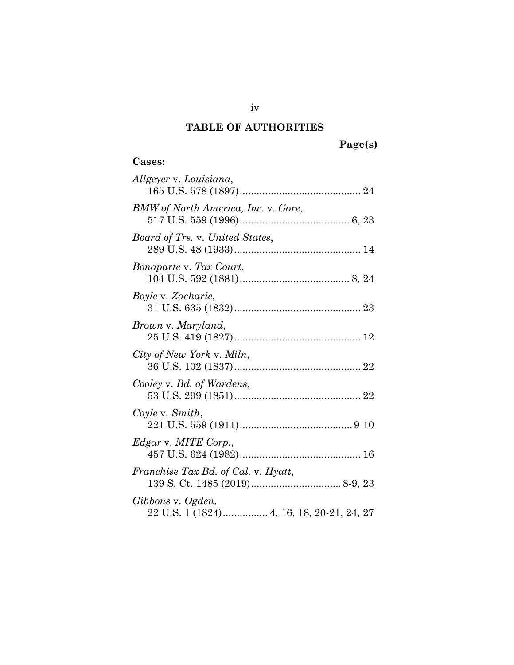## **TABLE OF AUTHORITIES**

# **Page(s)**

## **Cases:**

| Allgeyer v. Louisiana,              |
|-------------------------------------|
| BMW of North America, Inc. v. Gore, |
| Board of Trs. v. United States,     |
| Bonaparte v. Tax Court,             |
| Boyle v. Zacharie,                  |
| Brown v. Maryland,                  |
| City of New York v. Miln,           |
| Cooley v. Bd. of Wardens,           |
| Coyle v. Smith,                     |
| Edgar v. MITE Corp.,                |
| Franchise Tax Bd. of Cal. v. Hyatt, |
| Gibbons v. Ogden,                   |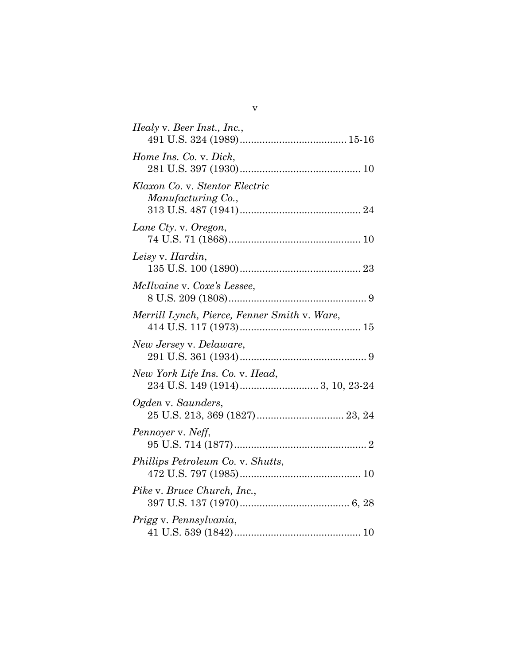| <i>Healy v. Beer Inst., Inc.,</i>                    |
|------------------------------------------------------|
| Home Ins. Co. v. Dick,                               |
| Klaxon Co. v. Stentor Electric<br>Manufacturing Co., |
| Lane Cty. v. Oregon,                                 |
| Leisy v. Hardin,                                     |
| McIlvaine v. Coxe's Lessee,                          |
| Merrill Lynch, Pierce, Fenner Smith v. Ware,         |
| New Jersey v. Delaware,                              |
| New York Life Ins. Co. v. Head,                      |
| Ogden v. Saunders,                                   |
| Pennoyer v. Neff,                                    |
| Phillips Petroleum Co. v. Shutts,                    |
| Pike v. Bruce Church, Inc.,                          |
| Prigg v. Pennsylvania,                               |

v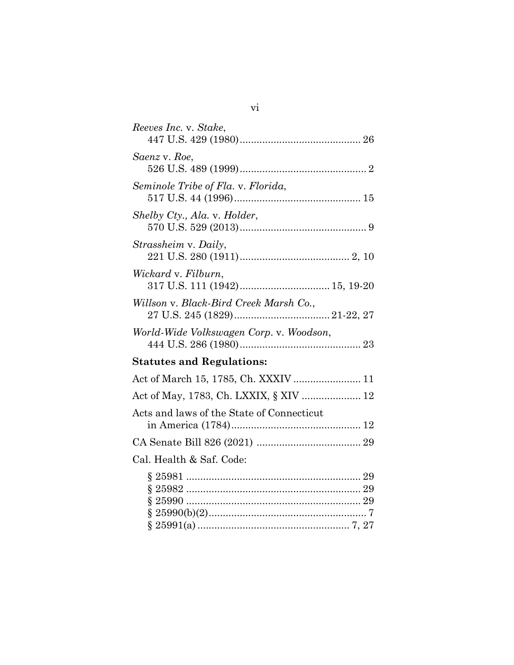| Reeves Inc. v. Stake,                     |
|-------------------------------------------|
| Saenz v. Roe,                             |
| Seminole Tribe of Fla. v. Florida,        |
| Shelby Cty., Ala. v. Holder,              |
| Strassheim v. Daily,                      |
| Wickard v. Filburn,                       |
| Willson v. Black-Bird Creek Marsh Co.,    |
| World-Wide Volkswagen Corp. v. Woodson,   |
| <b>Statutes and Regulations:</b>          |
| Act of March 15, 1785, Ch. XXXIV  11      |
| Act of May, 1783, Ch. LXXIX, § XIV  12    |
| Acts and laws of the State of Connecticut |
|                                           |
| Cal. Health & Saf. Code:                  |
|                                           |
|                                           |

vi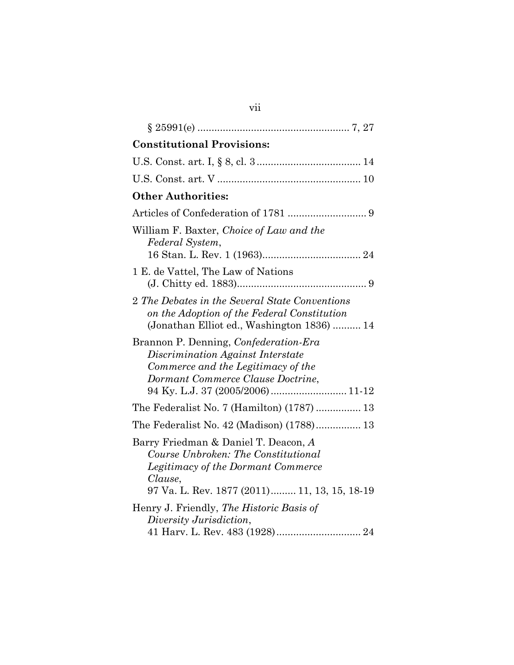| <b>Constitutional Provisions:</b>                                                                                                                                            |
|------------------------------------------------------------------------------------------------------------------------------------------------------------------------------|
|                                                                                                                                                                              |
|                                                                                                                                                                              |
| <b>Other Authorities:</b>                                                                                                                                                    |
|                                                                                                                                                                              |
| William F. Baxter, Choice of Law and the<br>Federal System,                                                                                                                  |
| 1 E. de Vattel, The Law of Nations                                                                                                                                           |
| 2 The Debates in the Several State Conventions<br>on the Adoption of the Federal Constitution<br>(Jonathan Elliot ed., Washington 1836) 14                                   |
| Brannon P. Denning, Confederation-Era<br>Discrimination Against Interstate<br>Commerce and the Legitimacy of the<br>Dormant Commerce Clause Doctrine,                        |
| The Federalist No. 7 (Hamilton) (1787)  13                                                                                                                                   |
| The Federalist No. 42 (Madison) (1788) 13                                                                                                                                    |
| Barry Friedman & Daniel T. Deacon, A<br>Course Unbroken: The Constitutional<br>Legitimacy of the Dormant Commerce<br>Clause,<br>97 Va. L. Rev. 1877 (2011) 11, 13, 15, 18-19 |
| Henry J. Friendly, The Historic Basis of<br>Diversity Jurisdiction,                                                                                                          |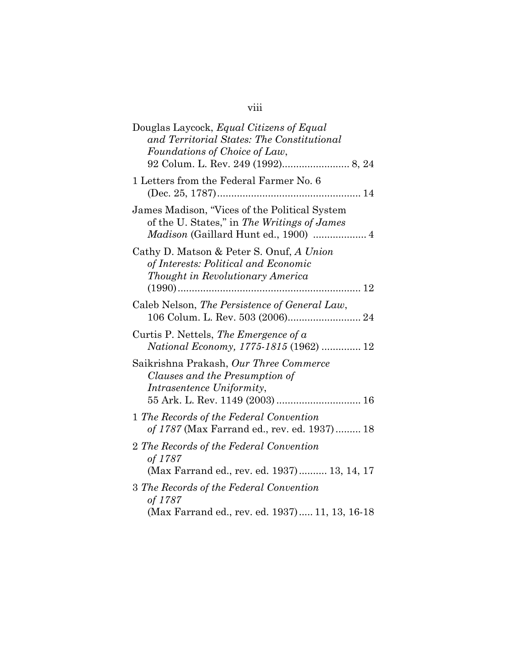## viii

| Douglas Laycock, Equal Citizens of Equal<br>and Territorial States: The Constitutional<br>Foundations of Choice of Law,                         |
|-------------------------------------------------------------------------------------------------------------------------------------------------|
| 1 Letters from the Federal Farmer No. 6                                                                                                         |
| James Madison, "Vices of the Political System<br>of the U. States," in The Writings of James<br><i>Madison</i> (Gaillard Hunt ed., 1900)  4     |
| Cathy D. Matson & Peter S. Onuf, A Union<br>of Interests: Political and Economic<br>Thought in Revolutionary America                            |
| Caleb Nelson, The Persistence of General Law,                                                                                                   |
| Curtis P. Nettels, The Emergence of $a$<br>National Economy, 1775-1815 (1962)  12                                                               |
| Saikrishna Prakash, Our Three Commerce<br>Clauses and the Presumption of<br><i>Intrasentence Uniformity,</i><br>55 Ark. L. Rev. 1149 (2003)  16 |
| 1 The Records of the Federal Convention<br>of 1787 (Max Farrand ed., rev. ed. 1937) 18                                                          |
| 2 The Records of the Federal Convention<br>of 1787<br>(Max Farrand ed., rev. ed. 1937) 13, 14, 17                                               |
| 3 The Records of the Federal Convention<br>of 1787<br>(Max Farrand ed., rev. ed. 1937) 11, 13, 16-18                                            |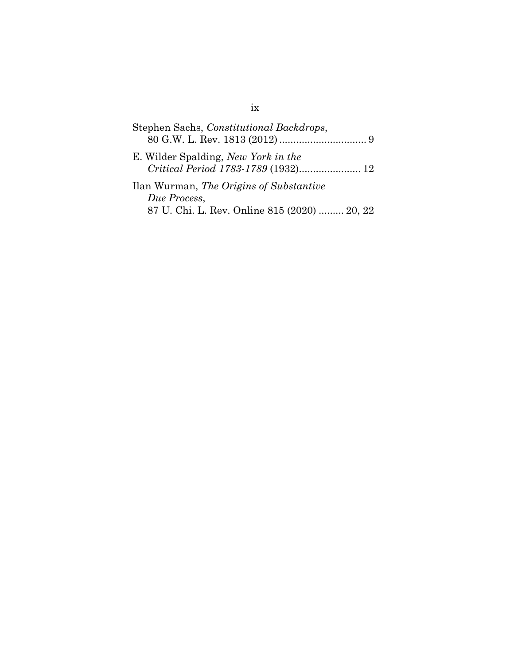| Stephen Sachs, Constitutional Backdrops,                                                                |
|---------------------------------------------------------------------------------------------------------|
| E. Wilder Spalding, New York in the<br>Critical Period 1783-1789 (1932) 12                              |
| Ilan Wurman, The Origins of Substantive<br>Due Process,<br>87 U. Chi. L. Rev. Online 815 (2020)  20, 22 |

## ix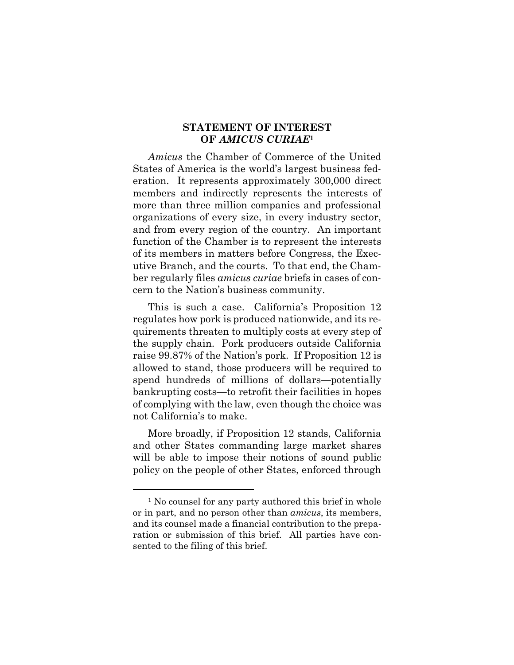### **STATEMENT OF INTEREST OF** *AMICUS CURIAE***<sup>1</sup>**

*Amicus* the Chamber of Commerce of the United States of America is the world's largest business federation. It represents approximately 300,000 direct members and indirectly represents the interests of more than three million companies and professional organizations of every size, in every industry sector, and from every region of the country. An important function of the Chamber is to represent the interests of its members in matters before Congress, the Executive Branch, and the courts. To that end, the Chamber regularly files *amicus curiae* briefs in cases of concern to the Nation's business community.

This is such a case. California's Proposition 12 regulates how pork is produced nationwide, and its requirements threaten to multiply costs at every step of the supply chain. Pork producers outside California raise 99.87% of the Nation's pork. If Proposition 12 is allowed to stand, those producers will be required to spend hundreds of millions of dollars—potentially bankrupting costs—to retrofit their facilities in hopes of complying with the law, even though the choice was not California's to make.

More broadly, if Proposition 12 stands, California and other States commanding large market shares will be able to impose their notions of sound public policy on the people of other States, enforced through

<sup>&</sup>lt;sup>1</sup> No counsel for any party authored this brief in whole or in part, and no person other than *amicus*, its members, and its counsel made a financial contribution to the preparation or submission of this brief. All parties have consented to the filing of this brief.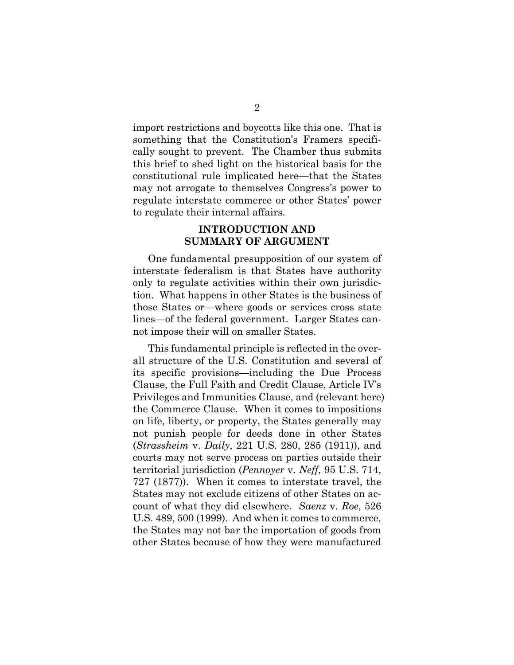import restrictions and boycotts like this one. That is something that the Constitution's Framers specifically sought to prevent. The Chamber thus submits this brief to shed light on the historical basis for the constitutional rule implicated here—that the States may not arrogate to themselves Congress's power to regulate interstate commerce or other States' power to regulate their internal affairs.

### **INTRODUCTION AND SUMMARY OF ARGUMENT**

One fundamental presupposition of our system of interstate federalism is that States have authority only to regulate activities within their own jurisdiction. What happens in other States is the business of those States or—where goods or services cross state lines—of the federal government. Larger States cannot impose their will on smaller States.

<span id="page-11-2"></span><span id="page-11-1"></span><span id="page-11-0"></span>This fundamental principle is reflected in the overall structure of the U.S. Constitution and several of its specific provisions—including the Due Process Clause, the Full Faith and Credit Clause, Article IV's Privileges and Immunities Clause, and (relevant here) the Commerce Clause. When it comes to impositions on life, liberty, or property, the States generally may not punish people for deeds done in other States (*Strassheim* v. *Daily*, 221 U.S. 280, 285 (1911)), and courts may not serve process on parties outside their territorial jurisdiction (*Pennoyer* v. *Neff*, 95 U.S. 714, 727 (1877)). When it comes to interstate travel, the States may not exclude citizens of other States on account of what they did elsewhere. *Saenz* v. *Roe*, 526 U.S. 489, 500 (1999). And when it comes to commerce, the States may not bar the importation of goods from other States because of how they were manufactured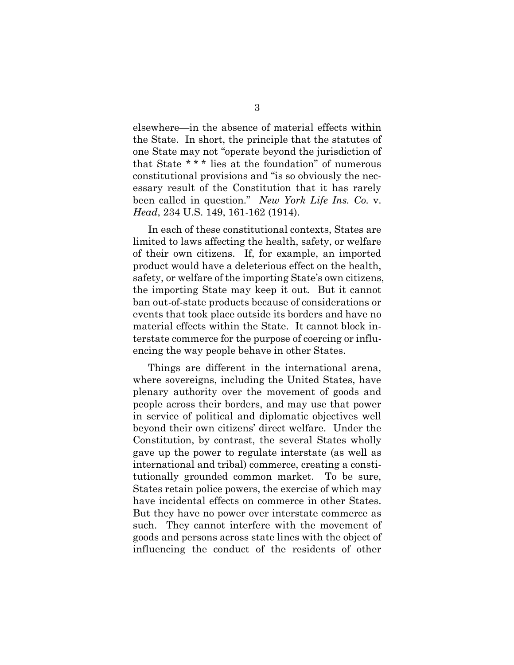elsewhere—in the absence of material effects within the State. In short, the principle that the statutes of one State may not "operate beyond the jurisdiction of that State \* \* \* lies at the foundation" of numerous constitutional provisions and "is so obviously the necessary result of the Constitution that it has rarely been called in question." *New York Life Ins. Co.* v. *Head*, 234 U.S. 149, 161-162 (1914).

<span id="page-12-0"></span>In each of these constitutional contexts, States are limited to laws affecting the health, safety, or welfare of their own citizens. If, for example, an imported product would have a deleterious effect on the health, safety, or welfare of the importing State's own citizens, the importing State may keep it out. But it cannot ban out-of-state products because of considerations or events that took place outside its borders and have no material effects within the State. It cannot block interstate commerce for the purpose of coercing or influencing the way people behave in other States.

Things are different in the international arena, where sovereigns, including the United States, have plenary authority over the movement of goods and people across their borders, and may use that power in service of political and diplomatic objectives well beyond their own citizens' direct welfare. Under the Constitution, by contrast, the several States wholly gave up the power to regulate interstate (as well as international and tribal) commerce, creating a constitutionally grounded common market. To be sure, States retain police powers, the exercise of which may have incidental effects on commerce in other States. But they have no power over interstate commerce as such. They cannot interfere with the movement of goods and persons across state lines with the object of influencing the conduct of the residents of other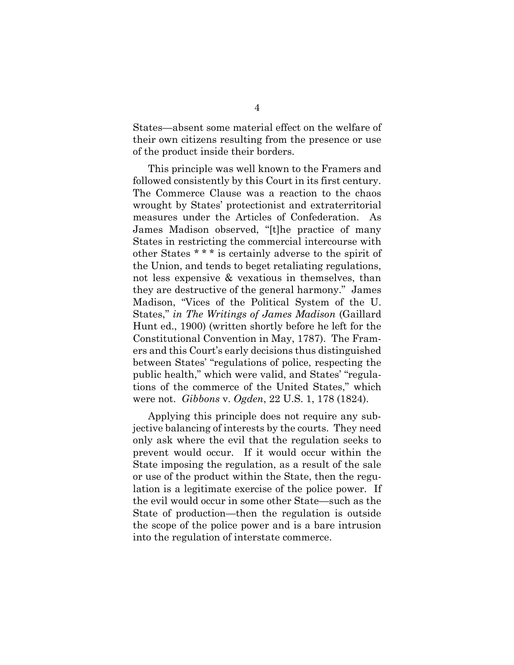States—absent some material effect on the welfare of their own citizens resulting from the presence or use of the product inside their borders.

<span id="page-13-1"></span>This principle was well known to the Framers and followed consistently by this Court in its first century. The Commerce Clause was a reaction to the chaos wrought by States' protectionist and extraterritorial measures under the Articles of Confederation. As James Madison observed, "[t]he practice of many States in restricting the commercial intercourse with other States \* \* \* is certainly adverse to the spirit of the Union, and tends to beget retaliating regulations, not less expensive & vexatious in themselves, than they are destructive of the general harmony." James Madison, "Vices of the Political System of the U. States," *in The Writings of James Madison* (Gaillard Hunt ed., 1900) (written shortly before he left for the Constitutional Convention in May, 1787). The Framers and this Court's early decisions thus distinguished between States' "regulations of police, respecting the public health," which were valid, and States' "regulations of the commerce of the United States," which were not. *Gibbons* v. *Ogden*, 22 U.S. 1, 178 (1824).

<span id="page-13-0"></span>Applying this principle does not require any subjective balancing of interests by the courts. They need only ask where the evil that the regulation seeks to prevent would occur. If it would occur within the State imposing the regulation, as a result of the sale or use of the product within the State, then the regulation is a legitimate exercise of the police power. If the evil would occur in some other State—such as the State of production—then the regulation is outside the scope of the police power and is a bare intrusion into the regulation of interstate commerce.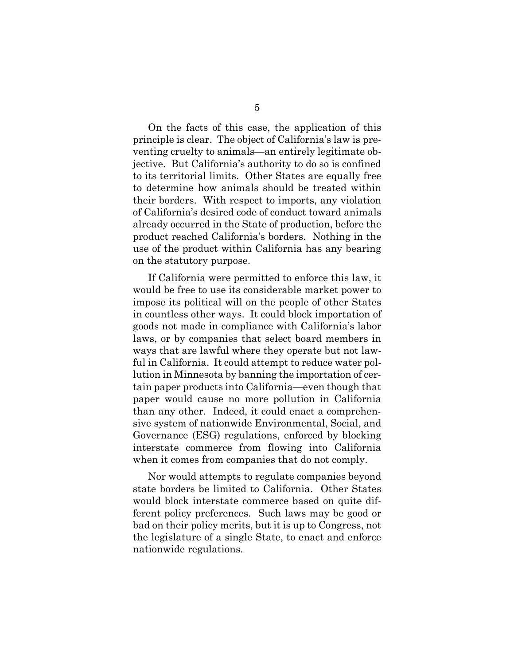On the facts of this case, the application of this principle is clear. The object of California's law is preventing cruelty to animals—an entirely legitimate objective. But California's authority to do so is confined to its territorial limits. Other States are equally free to determine how animals should be treated within their borders. With respect to imports, any violation of California's desired code of conduct toward animals already occurred in the State of production, before the product reached California's borders. Nothing in the use of the product within California has any bearing on the statutory purpose.

If California were permitted to enforce this law, it would be free to use its considerable market power to impose its political will on the people of other States in countless other ways. It could block importation of goods not made in compliance with California's labor laws, or by companies that select board members in ways that are lawful where they operate but not lawful in California. It could attempt to reduce water pollution in Minnesota by banning the importation of certain paper products into California—even though that paper would cause no more pollution in California than any other. Indeed, it could enact a comprehensive system of nationwide Environmental, Social, and Governance (ESG) regulations, enforced by blocking interstate commerce from flowing into California when it comes from companies that do not comply.

Nor would attempts to regulate companies beyond state borders be limited to California. Other States would block interstate commerce based on quite different policy preferences. Such laws may be good or bad on their policy merits, but it is up to Congress, not the legislature of a single State, to enact and enforce nationwide regulations.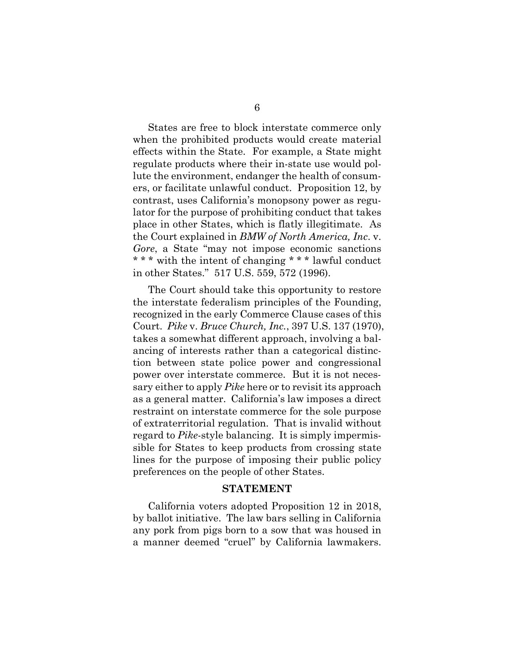States are free to block interstate commerce only when the prohibited products would create material effects within the State. For example, a State might regulate products where their in-state use would pollute the environment, endanger the health of consumers, or facilitate unlawful conduct. Proposition 12, by contrast, uses California's monopsony power as regulator for the purpose of prohibiting conduct that takes place in other States, which is flatly illegitimate. As the Court explained in *BMW of North America, Inc*. v. *Gore*, a State "may not impose economic sanctions \* \* \* with the intent of changing \* \* \* lawful conduct in other States." 517 U.S. 559, 572 (1996).

<span id="page-15-1"></span><span id="page-15-0"></span>The Court should take this opportunity to restore the interstate federalism principles of the Founding, recognized in the early Commerce Clause cases of this Court. *Pike* v. *Bruce Church, Inc.*, 397 U.S. 137 (1970), takes a somewhat different approach, involving a balancing of interests rather than a categorical distinction between state police power and congressional power over interstate commerce. But it is not necessary either to apply *Pike* here or to revisit its approach as a general matter. California's law imposes a direct restraint on interstate commerce for the sole purpose of extraterritorial regulation. That is invalid without regard to *Pike*-style balancing. It is simply impermissible for States to keep products from crossing state lines for the purpose of imposing their public policy preferences on the people of other States.

#### **STATEMENT**

California voters adopted Proposition 12 in 2018, by ballot initiative. The law bars selling in California any pork from pigs born to a sow that was housed in a manner deemed "cruel" by California lawmakers.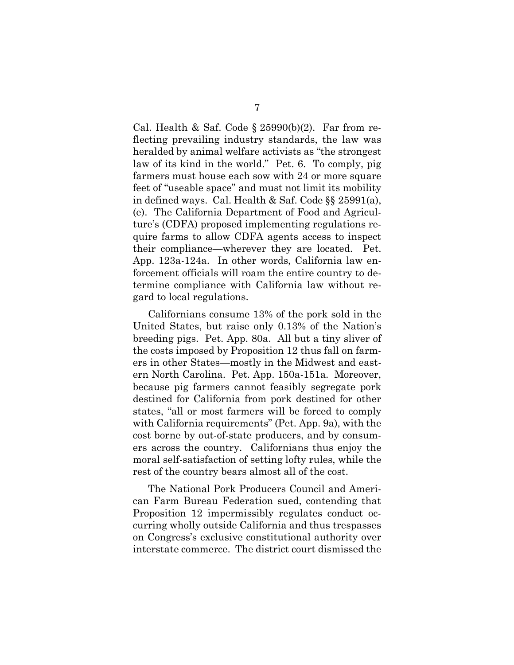<span id="page-16-1"></span><span id="page-16-0"></span>Cal. Health & Saf. Code  $\S 25990(b)(2)$ . Far from reflecting prevailing industry standards, the law was heralded by animal welfare activists as "the strongest law of its kind in the world." Pet. 6. To comply, pig farmers must house each sow with 24 or more square feet of "useable space" and must not limit its mobility in defined ways. Cal. Health & Saf. Code §§ 25991(a), (e). The California Department of Food and Agriculture's (CDFA) proposed implementing regulations require farms to allow CDFA agents access to inspect their compliance—wherever they are located. Pet. App. 123a-124a. In other words, California law enforcement officials will roam the entire country to determine compliance with California law without regard to local regulations.

Californians consume 13% of the pork sold in the United States, but raise only 0.13% of the Nation's breeding pigs. Pet. App. 80a. All but a tiny sliver of the costs imposed by Proposition 12 thus fall on farmers in other States—mostly in the Midwest and eastern North Carolina. Pet. App. 150a-151a. Moreover, because pig farmers cannot feasibly segregate pork destined for California from pork destined for other states, "all or most farmers will be forced to comply with California requirements" (Pet. App. 9a), with the cost borne by out-of-state producers, and by consumers across the country. Californians thus enjoy the moral self-satisfaction of setting lofty rules, while the rest of the country bears almost all of the cost.

The National Pork Producers Council and American Farm Bureau Federation sued, contending that Proposition 12 impermissibly regulates conduct occurring wholly outside California and thus trespasses on Congress's exclusive constitutional authority over interstate commerce. The district court dismissed the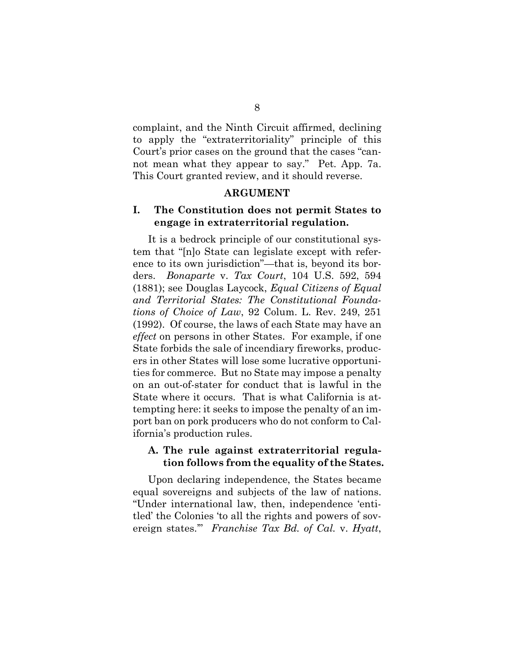complaint, and the Ninth Circuit affirmed, declining to apply the "extraterritoriality" principle of this Court's prior cases on the ground that the cases "cannot mean what they appear to say." Pet. App. 7a. This Court granted review, and it should reverse.

#### **ARGUMENT**

## **I. The Constitution does not permit States to engage in extraterritorial regulation.**

<span id="page-17-2"></span><span id="page-17-0"></span>It is a bedrock principle of our constitutional system that "[n]o State can legislate except with reference to its own jurisdiction"—that is, beyond its borders. *Bonaparte* v. *Tax Court*, 104 U.S. 592, 594 (1881); see Douglas Laycock, *Equal Citizens of Equal and Territorial States: The Constitutional Foundations of Choice of Law*, 92 Colum. L. Rev. 249, 251 (1992). Of course, the laws of each State may have an *effect* on persons in other States. For example, if one State forbids the sale of incendiary fireworks, producers in other States will lose some lucrative opportunities for commerce. But no State may impose a penalty on an out-of-stater for conduct that is lawful in the State where it occurs. That is what California is attempting here: it seeks to impose the penalty of an import ban on pork producers who do not conform to California's production rules.

#### **A. The rule against extraterritorial regulation follows from the equality of the States.**

<span id="page-17-1"></span>Upon declaring independence, the States became equal sovereigns and subjects of the law of nations. "Under international law, then, independence 'entitled' the Colonies 'to all the rights and powers of sovereign states.'" *Franchise Tax Bd. of Cal.* v. *Hyatt*,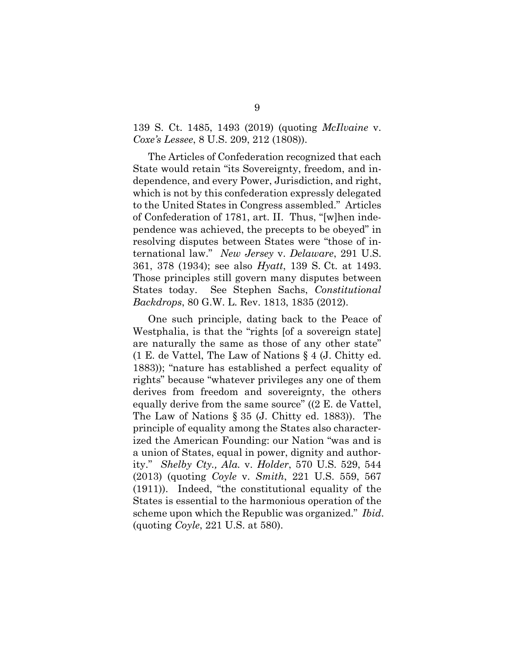### <span id="page-18-2"></span>139 S. Ct. 1485, 1493 (2019) (quoting *McIlvaine* v. *Coxe's Lessee*, 8 U.S. 209, 212 (1808)).

<span id="page-18-5"></span>The Articles of Confederation recognized that each State would retain "its Sovereignty, freedom, and independence, and every Power, Jurisdiction, and right, which is not by this confederation expressly delegated to the United States in Congress assembled." Articles of Confederation of 1781, art. II. Thus, "[w]hen independence was achieved, the precepts to be obeyed" in resolving disputes between States were "those of international law." *New Jersey* v. *Delaware*, 291 U.S. 361, 378 (1934); see also *Hyatt*, 139 S. Ct. at 1493. Those principles still govern many disputes between States today. See Stephen Sachs, *Constitutional Backdrops*, 80 G.W. L. Rev. 1813, 1835 (2012).

<span id="page-18-7"></span><span id="page-18-6"></span><span id="page-18-4"></span><span id="page-18-3"></span><span id="page-18-1"></span><span id="page-18-0"></span>One such principle, dating back to the Peace of Westphalia, is that the "rights [of a sovereign state] are naturally the same as those of any other state" (1 E. de Vattel, The Law of Nations § 4 (J. Chitty ed. 1883)); "nature has established a perfect equality of rights" because "whatever privileges any one of them derives from freedom and sovereignty, the others equally derive from the same source" ((2 E. de Vattel, The Law of Nations § 35 (J. Chitty ed. 1883)). The principle of equality among the States also characterized the American Founding: our Nation "was and is a union of States, equal in power, dignity and authority." *Shelby Cty., Ala.* v. *Holder*, 570 U.S. 529, 544 (2013) (quoting *Coyle* v. *Smith*, 221 U.S. 559, 567 (1911)). Indeed, "the constitutional equality of the States is essential to the harmonious operation of the scheme upon which the Republic was organized." *Ibid*. (quoting *Coyle*, 221 U.S. at 580).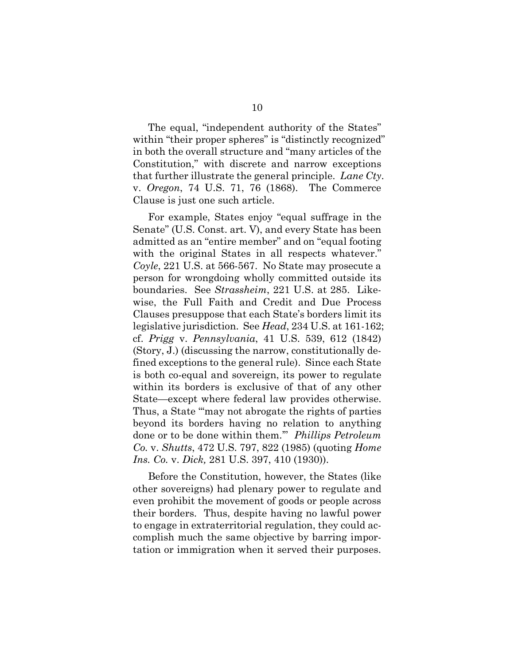The equal, "independent authority of the States" within "their proper spheres" is "distinctly recognized" in both the overall structure and "many articles of the Constitution," with discrete and narrow exceptions that further illustrate the general principle. *Lane Cty*. v. *Oregon*, 74 U.S. 71, 76 (1868). The Commerce Clause is just one such article.

<span id="page-19-7"></span><span id="page-19-6"></span><span id="page-19-5"></span><span id="page-19-3"></span><span id="page-19-2"></span><span id="page-19-0"></span>For example, States enjoy "equal suffrage in the Senate" (U.S. Const. art. V), and every State has been admitted as an "entire member" and on "equal footing with the original States in all respects whatever." *Coyle*, 221 U.S. at 566-567. No State may prosecute a person for wrongdoing wholly committed outside its boundaries. See *Strassheim*, 221 U.S. at 285. Likewise, the Full Faith and Credit and Due Process Clauses presuppose that each State's borders limit its legislative jurisdiction. See *Head*, 234 U.S. at 161-162; cf. *Prigg* v. *Pennsylvania*, 41 U.S. 539, 612 (1842) (Story, J.) (discussing the narrow, constitutionally defined exceptions to the general rule). Since each State is both co-equal and sovereign, its power to regulate within its borders is exclusive of that of any other State—except where federal law provides otherwise. Thus, a State "may not abrogate the rights of parties" beyond its borders having no relation to anything done or to be done within them.'" *Phillips Petroleum Co.* v. *Shutts*, 472 U.S. 797, 822 (1985) (quoting *Home Ins. Co.* v. *Dick,* 281 U.S. 397, 410 (1930)).

<span id="page-19-4"></span><span id="page-19-1"></span>Before the Constitution, however, the States (like other sovereigns) had plenary power to regulate and even prohibit the movement of goods or people across their borders. Thus, despite having no lawful power to engage in extraterritorial regulation, they could accomplish much the same objective by barring importation or immigration when it served their purposes.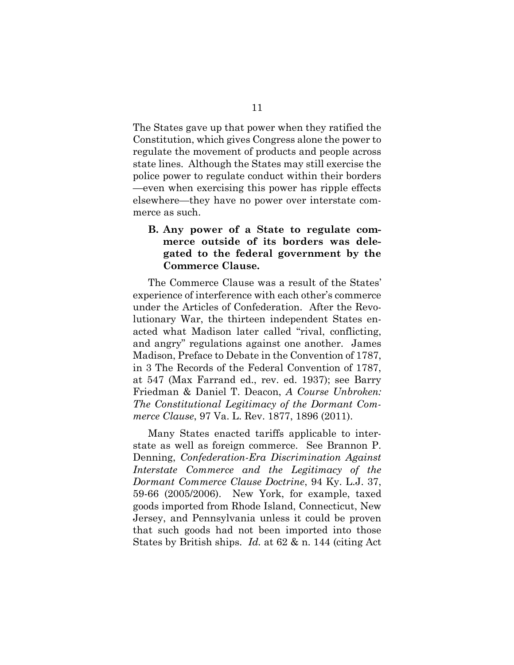The States gave up that power when they ratified the Constitution, which gives Congress alone the power to regulate the movement of products and people across state lines. Although the States may still exercise the police power to regulate conduct within their borders —even when exercising this power has ripple effects elsewhere—they have no power over interstate commerce as such.

## **B. Any power of a State to regulate commerce outside of its borders was delegated to the federal government by the Commerce Clause.**

<span id="page-20-3"></span>The Commerce Clause was a result of the States' experience of interference with each other's commerce under the Articles of Confederation. After the Revolutionary War, the thirteen independent States enacted what Madison later called "rival, conflicting, and angry" regulations against one another. James Madison, Preface to Debate in the Convention of 1787, in 3 The Records of the Federal Convention of 1787, at 547 (Max Farrand ed., rev. ed. 1937); see Barry Friedman & Daniel T. Deacon, *A Course Unbroken: The Constitutional Legitimacy of the Dormant Commerce Clause*, 97 Va. L. Rev. 1877, 1896 (2011).

<span id="page-20-2"></span><span id="page-20-1"></span><span id="page-20-0"></span>Many States enacted tariffs applicable to interstate as well as foreign commerce. See Brannon P. Denning, *Confederation-Era Discrimination Against Interstate Commerce and the Legitimacy of the Dormant Commerce Clause Doctrine*, 94 Ky. L.J. 37, 59-66 (2005/2006). New York, for example, taxed goods imported from Rhode Island, Connecticut, New Jersey, and Pennsylvania unless it could be proven that such goods had not been imported into those States by British ships. *Id.* at 62 & n. 144 (citing Act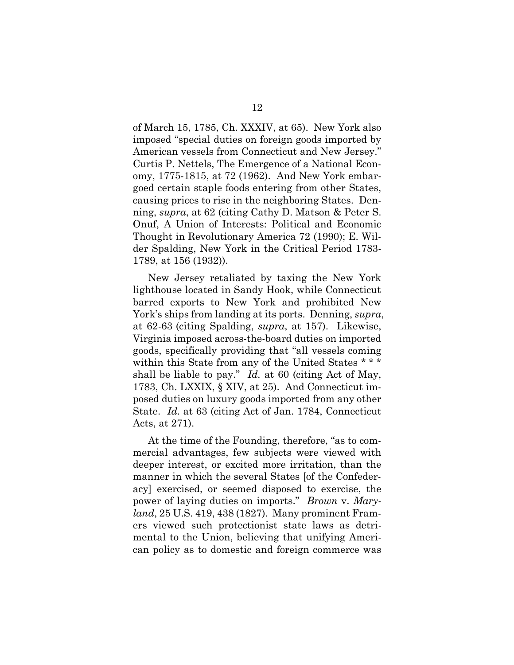<span id="page-21-5"></span><span id="page-21-3"></span>of March 15, 1785, Ch. XXXIV, at 65). New York also imposed "special duties on foreign goods imported by American vessels from Connecticut and New Jersey." Curtis P. Nettels, The Emergence of a National Economy, 1775-1815, at 72 (1962). And New York embargoed certain staple foods entering from other States, causing prices to rise in the neighboring States. Denning, *supra*, at 62 (citing Cathy D. Matson & Peter S. Onuf, A Union of Interests: Political and Economic Thought in Revolutionary America 72 (1990); E. Wilder Spalding, New York in the Critical Period 1783- 1789, at 156 (1932)).

<span id="page-21-6"></span><span id="page-21-4"></span>New Jersey retaliated by taxing the New York lighthouse located in Sandy Hook, while Connecticut barred exports to New York and prohibited New York's ships from landing at its ports. Denning, *supra*, at 62-63 (citing Spalding, *supra*, at 157). Likewise, Virginia imposed across-the-board duties on imported goods, specifically providing that "all vessels coming within this State from any of the United States \*\*\* shall be liable to pay." *Id.* at 60 (citing Act of May, 1783, Ch. LXXIX, § XIV, at 25). And Connecticut imposed duties on luxury goods imported from any other State. *Id.* at 63 (citing Act of Jan. 1784, Connecticut Acts, at 271).

<span id="page-21-2"></span><span id="page-21-1"></span><span id="page-21-0"></span>At the time of the Founding, therefore, "as to commercial advantages, few subjects were viewed with deeper interest, or excited more irritation, than the manner in which the several States [of the Confederacy] exercised, or seemed disposed to exercise, the power of laying duties on imports." *Brown* v. *Maryland*, 25 U.S. 419, 438 (1827). Many prominent Framers viewed such protectionist state laws as detrimental to the Union, believing that unifying American policy as to domestic and foreign commerce was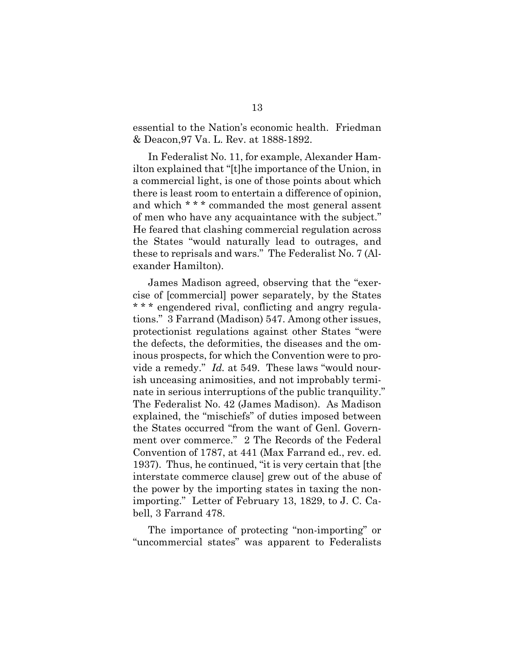<span id="page-22-2"></span>essential to the Nation's economic health. Friedman & Deacon,97 Va. L. Rev. at 1888-1892.

In Federalist No. 11, for example, Alexander Hamilton explained that "[t]he importance of the Union, in a commercial light, is one of those points about which there is least room to entertain a difference of opinion, and which \* \* \* commanded the most general assent of men who have any acquaintance with the subject." He feared that clashing commercial regulation across the States "would naturally lead to outrages, and these to reprisals and wars." The Federalist No. 7 (Alexander Hamilton).

<span id="page-22-4"></span><span id="page-22-1"></span><span id="page-22-0"></span>James Madison agreed, observing that the "exercise of [commercial] power separately, by the States \* \* \* engendered rival, conflicting and angry regulations." 3 Farrand (Madison) 547. Among other issues, protectionist regulations against other States "were the defects, the deformities, the diseases and the ominous prospects, for which the Convention were to provide a remedy." *Id.* at 549. These laws "would nourish unceasing animosities, and not improbably terminate in serious interruptions of the public tranquility." The Federalist No. 42 (James Madison). As Madison explained, the "mischiefs" of duties imposed between the States occurred "from the want of Genl. Government over commerce." 2 The Records of the Federal Convention of 1787, at 441 (Max Farrand ed., rev. ed. 1937). Thus, he continued, "it is very certain that [the interstate commerce clause] grew out of the abuse of the power by the importing states in taxing the nonimporting." Letter of February 13, 1829, to J. C. Cabell, 3 Farrand 478.

<span id="page-22-3"></span>The importance of protecting "non-importing" or "uncommercial states" was apparent to Federalists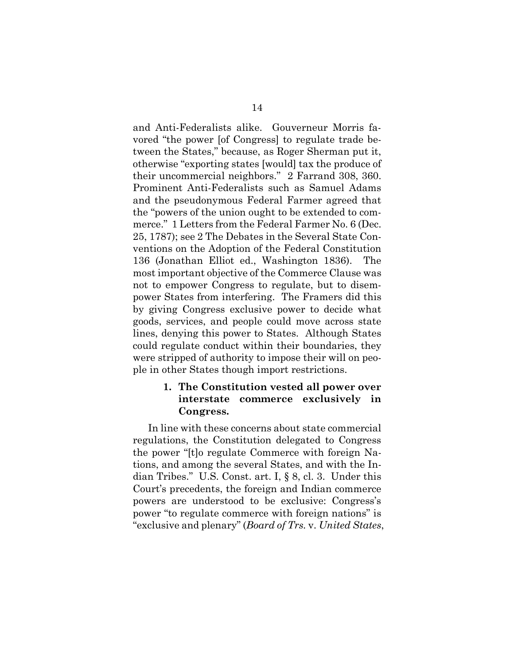<span id="page-23-4"></span><span id="page-23-3"></span><span id="page-23-2"></span>and Anti-Federalists alike. Gouverneur Morris favored "the power [of Congress] to regulate trade between the States," because, as Roger Sherman put it, otherwise "exporting states [would] tax the produce of their uncommercial neighbors." 2 Farrand 308, 360. Prominent Anti-Federalists such as Samuel Adams and the pseudonymous Federal Farmer agreed that the "powers of the union ought to be extended to commerce." 1 Letters from the Federal Farmer No. 6 (Dec. 25, 1787); see 2 The Debates in the Several State Conventions on the Adoption of the Federal Constitution 136 (Jonathan Elliot ed., Washington 1836). The most important objective of the Commerce Clause was not to empower Congress to regulate, but to disempower States from interfering. The Framers did this by giving Congress exclusive power to decide what goods, services, and people could move across state lines, denying this power to States. Although States could regulate conduct within their boundaries, they were stripped of authority to impose their will on people in other States though import restrictions.

### **1. The Constitution vested all power over interstate commerce exclusively in Congress.**

<span id="page-23-1"></span><span id="page-23-0"></span>In line with these concerns about state commercial regulations, the Constitution delegated to Congress the power "[t]o regulate Commerce with foreign Nations, and among the several States, and with the Indian Tribes." U.S. Const. art. I, § 8, cl. 3. Under this Court's precedents, the foreign and Indian commerce powers are understood to be exclusive: Congress's power "to regulate commerce with foreign nations" is "exclusive and plenary" (*Board of Trs.* v. *United States*,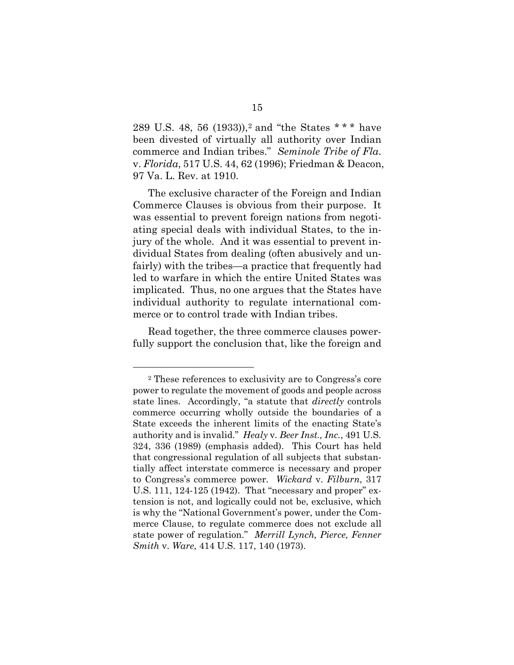<span id="page-24-4"></span><span id="page-24-2"></span>289 U.S. 48, 56 (1933)),2 and "the States \* \* \* have been divested of virtually all authority over Indian commerce and Indian tribes." *Seminole Tribe of Fla*. v. *Florida*, 517 U.S. 44, 62 (1996); Friedman & Deacon, 97 Va. L. Rev. at 1910.

The exclusive character of the Foreign and Indian Commerce Clauses is obvious from their purpose. It was essential to prevent foreign nations from negotiating special deals with individual States, to the injury of the whole. And it was essential to prevent individual States from dealing (often abusively and unfairly) with the tribes—a practice that frequently had led to warfare in which the entire United States was implicated. Thus, no one argues that the States have individual authority to regulate international commerce or to control trade with Indian tribes.

Read together, the three commerce clauses powerfully support the conclusion that, like the foreign and

<span id="page-24-3"></span><span id="page-24-1"></span><span id="page-24-0"></span><sup>2</sup> These references to exclusivity are to Congress's core power to regulate the movement of goods and people across state lines. Accordingly, "a statute that *directly* controls commerce occurring wholly outside the boundaries of a State exceeds the inherent limits of the enacting State's authority and is invalid." *Healy* v. *Beer Inst., Inc.*, 491 U.S. 324, 336 (1989) (emphasis added). This Court has held that congressional regulation of all subjects that substantially affect interstate commerce is necessary and proper to Congress's commerce power. *Wickard* v. *Filburn*, 317 U.S. 111, 124-125 (1942). That "necessary and proper" extension is not, and logically could not be, exclusive, which is why the "National Government's power, under the Commerce Clause, to regulate commerce does not exclude all state power of regulation." *Merrill Lynch, Pierce, Fenner Smith* v. *Ware*, 414 U.S. 117, 140 (1973).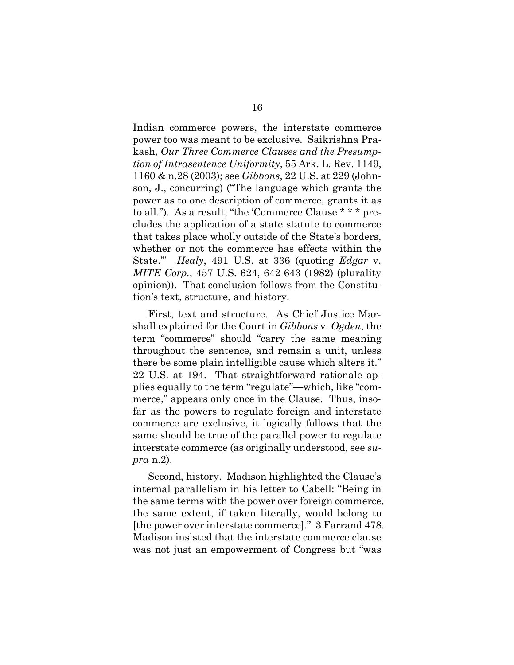<span id="page-25-3"></span><span id="page-25-1"></span>Indian commerce powers, the interstate commerce power too was meant to be exclusive.Saikrishna Prakash, *Our Three Commerce Clauses and the Presumption of Intrasentence Uniformity*, 55 Ark. L. Rev. 1149, 1160 & n.28 (2003); see *Gibbons*, 22 U.S. at 229 (Johnson, J., concurring) ("The language which grants the power as to one description of commerce, grants it as to all."). As a result, "the 'Commerce Clause \* \* \* precludes the application of a state statute to commerce that takes place wholly outside of the State's borders, whether or not the commerce has effects within the State.'" *Healy*, 491 U.S. at 336 (quoting *Edgar* v. *MITE Corp.*, 457 U.S. 624, 642-643 (1982) (plurality opinion)). That conclusion follows from the Constitution's text, structure, and history.

<span id="page-25-2"></span><span id="page-25-0"></span>First, text and structure. As Chief Justice Marshall explained for the Court in *Gibbons* v. *Ogden*, the term "commerce" should "carry the same meaning throughout the sentence, and remain a unit, unless there be some plain intelligible cause which alters it." 22 U.S. at 194. That straightforward rationale applies equally to the term "regulate"—which, like "commerce," appears only once in the Clause. Thus, insofar as the powers to regulate foreign and interstate commerce are exclusive, it logically follows that the same should be true of the parallel power to regulate interstate commerce (as originally understood, see *supra* n.2).

<span id="page-25-4"></span>Second, history. Madison highlighted the Clause's internal parallelism in his letter to Cabell: "Being in the same terms with the power over foreign commerce, the same extent, if taken literally, would belong to [the power over interstate commerce]." 3 Farrand 478. Madison insisted that the interstate commerce clause was not just an empowerment of Congress but "was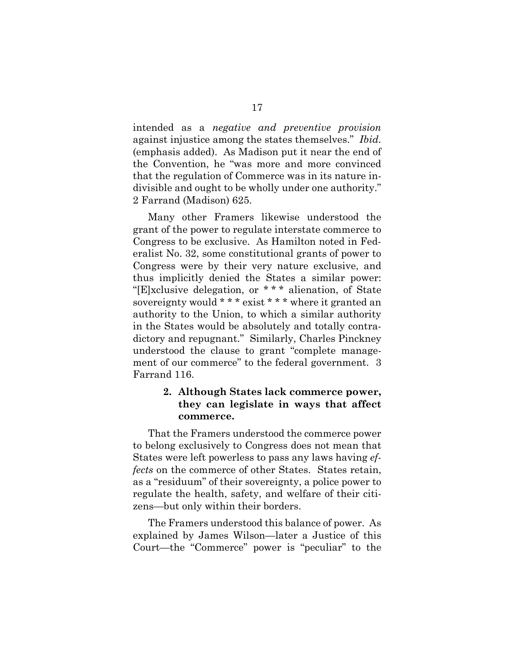intended as a *negative and preventive provision* against injustice among the states themselves." *Ibid.* (emphasis added). As Madison put it near the end of the Convention, he "was more and more convinced that the regulation of Commerce was in its nature indivisible and ought to be wholly under one authority." 2 Farrand (Madison) 625.

<span id="page-26-0"></span>Many other Framers likewise understood the grant of the power to regulate interstate commerce to Congress to be exclusive. As Hamilton noted in Federalist No. 32, some constitutional grants of power to Congress were by their very nature exclusive, and thus implicitly denied the States a similar power: "[E]xclusive delegation, or \* \* \* alienation, of State sovereignty would \* \* \* exist \* \* \* where it granted an authority to the Union, to which a similar authority in the States would be absolutely and totally contradictory and repugnant." Similarly, Charles Pinckney understood the clause to grant "complete management of our commerce" to the federal government. 3 Farrand 116.

## **2. Although States lack commerce power, they can legislate in ways that affect commerce.**

That the Framers understood the commerce power to belong exclusively to Congress does not mean that States were left powerless to pass any laws having *effects* on the commerce of other States. States retain, as a "residuum" of their sovereignty, a police power to regulate the health, safety, and welfare of their citizens—but only within their borders.

The Framers understood this balance of power. As explained by James Wilson—later a Justice of this Court—the "Commerce" power is "peculiar" to the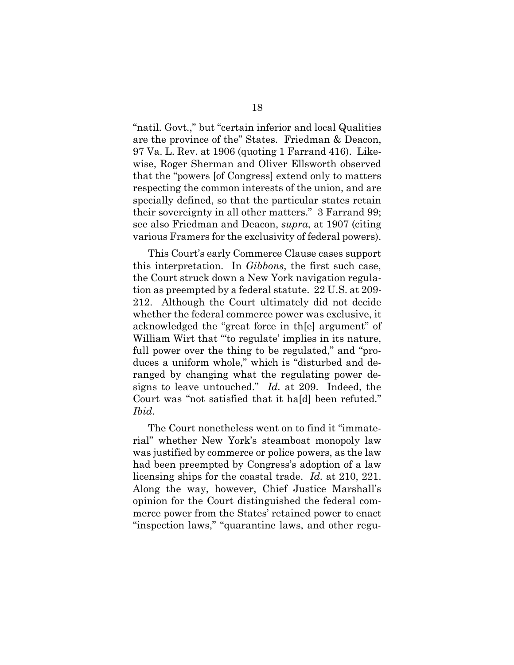<span id="page-27-2"></span><span id="page-27-1"></span>"natil. Govt.," but "certain inferior and local Qualities are the province of the" States. Friedman & Deacon, 97 Va. L. Rev. at 1906 (quoting 1 Farrand 416). Likewise, Roger Sherman and Oliver Ellsworth observed that the "powers [of Congress] extend only to matters respecting the common interests of the union, and are specially defined, so that the particular states retain their sovereignty in all other matters." 3 Farrand 99; see also Friedman and Deacon, *supra*, at 1907 (citing various Framers for the exclusivity of federal powers).

<span id="page-27-3"></span><span id="page-27-0"></span>This Court's early Commerce Clause cases support this interpretation. In *Gibbons*, the first such case, the Court struck down a New York navigation regulation as preempted by a federal statute. 22 U.S. at 209- 212. Although the Court ultimately did not decide whether the federal commerce power was exclusive, it acknowledged the "great force in th[e] argument" of William Wirt that "to regulate' implies in its nature, full power over the thing to be regulated," and "produces a uniform whole," which is "disturbed and deranged by changing what the regulating power designs to leave untouched." *Id.* at 209. Indeed, the Court was "not satisfied that it ha[d] been refuted." *Ibid*.

The Court nonetheless went on to find it "immaterial" whether New York's steamboat monopoly law was justified by commerce or police powers, as the law had been preempted by Congress's adoption of a law licensing ships for the coastal trade. *Id.* at 210, 221. Along the way, however, Chief Justice Marshall's opinion for the Court distinguished the federal commerce power from the States' retained power to enact "inspection laws," "quarantine laws, and other regu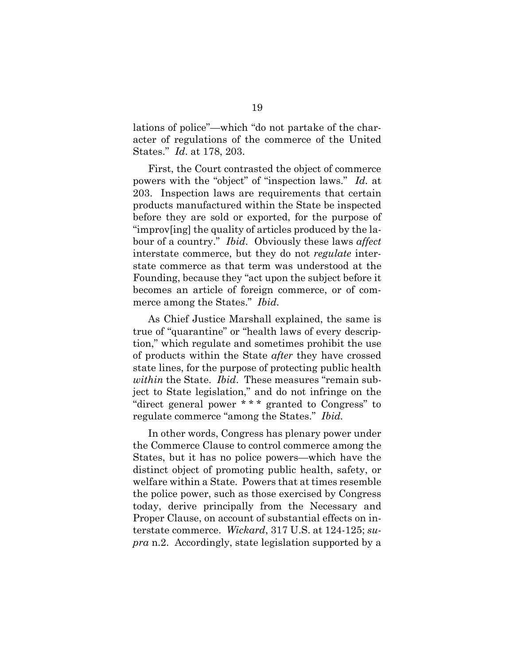lations of police"—which "do not partake of the character of regulations of the commerce of the United States." *Id*. at 178, 203.

<span id="page-28-1"></span>First, the Court contrasted the object of commerce powers with the "object" of "inspection laws." *Id.* at 203. Inspection laws are requirements that certain products manufactured within the State be inspected before they are sold or exported, for the purpose of "improv[ing] the quality of articles produced by the labour of a country." *Ibid*. Obviously these laws *affect* interstate commerce, but they do not *regulate* interstate commerce as that term was understood at the Founding, because they "act upon the subject before it becomes an article of foreign commerce, or of commerce among the States." *Ibid.*

As Chief Justice Marshall explained, the same is true of "quarantine" or "health laws of every description," which regulate and sometimes prohibit the use of products within the State *after* they have crossed state lines, for the purpose of protecting public health *within* the State. *Ibid*. These measures "remain subject to State legislation," and do not infringe on the "direct general power \* \* \* granted to Congress" to regulate commerce "among the States." *Ibid.*

<span id="page-28-0"></span>In other words, Congress has plenary power under the Commerce Clause to control commerce among the States, but it has no police powers—which have the distinct object of promoting public health, safety, or welfare within a State. Powers that at times resemble the police power, such as those exercised by Congress today, derive principally from the Necessary and Proper Clause, on account of substantial effects on interstate commerce. *Wickard*, 317 U.S. at 124-125; *supra* n.2. Accordingly, state legislation supported by a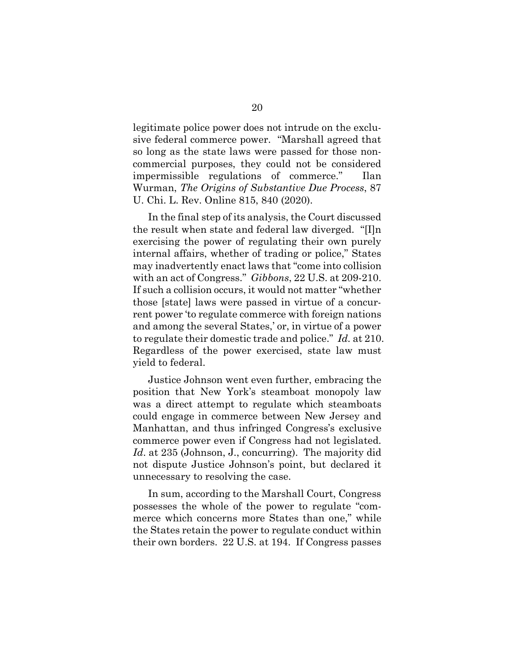legitimate police power does not intrude on the exclusive federal commerce power. "Marshall agreed that so long as the state laws were passed for those noncommercial purposes, they could not be considered impermissible regulations of commerce." Ilan Wurman, *The Origins of Substantive Due Process*, 87 U. Chi. L. Rev. Online 815, 840 (2020).

<span id="page-29-2"></span><span id="page-29-0"></span>In the final step of its analysis, the Court discussed the result when state and federal law diverged. "[I]n exercising the power of regulating their own purely internal affairs, whether of trading or police," States may inadvertently enact laws that "come into collision with an act of Congress." *Gibbons*, 22 U.S. at 209-210. If such a collision occurs, it would not matter "whether those [state] laws were passed in virtue of a concurrent power 'to regulate commerce with foreign nations and among the several States,' or, in virtue of a power to regulate their domestic trade and police." *Id.* at 210. Regardless of the power exercised, state law must yield to federal.

<span id="page-29-1"></span>Justice Johnson went even further, embracing the position that New York's steamboat monopoly law was a direct attempt to regulate which steamboats could engage in commerce between New Jersey and Manhattan, and thus infringed Congress's exclusive commerce power even if Congress had not legislated. Id. at 235 (Johnson, J., concurring). The majority did not dispute Justice Johnson's point, but declared it unnecessary to resolving the case.

In sum, according to the Marshall Court, Congress possesses the whole of the power to regulate "commerce which concerns more States than one," while the States retain the power to regulate conduct within their own borders. 22 U.S. at 194. If Congress passes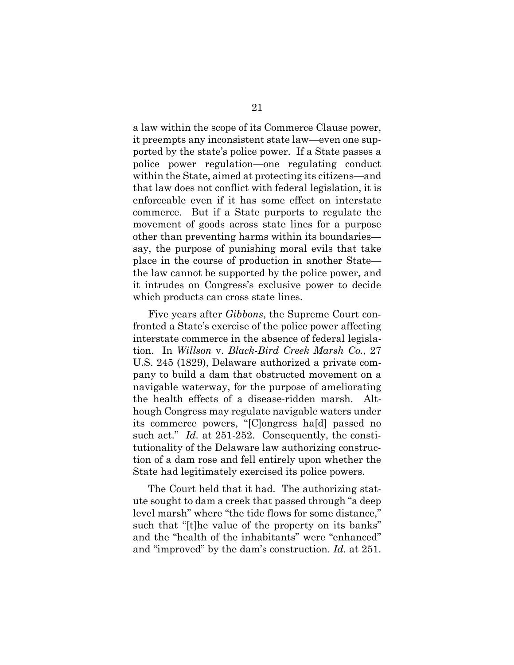a law within the scope of its Commerce Clause power, it preempts any inconsistent state law—even one supported by the state's police power. If a State passes a police power regulation—one regulating conduct within the State, aimed at protecting its citizens—and that law does not conflict with federal legislation, it is enforceable even if it has some effect on interstate commerce. But if a State purports to regulate the movement of goods across state lines for a purpose other than preventing harms within its boundaries say, the purpose of punishing moral evils that take place in the course of production in another State the law cannot be supported by the police power, and it intrudes on Congress's exclusive power to decide which products can cross state lines.

<span id="page-30-1"></span><span id="page-30-0"></span>Five years after *Gibbons*, the Supreme Court confronted a State's exercise of the police power affecting interstate commerce in the absence of federal legislation. In *Willson* v. *Black-Bird Creek Marsh Co.*, 27 U.S. 245 (1829), Delaware authorized a private company to build a dam that obstructed movement on a navigable waterway, for the purpose of ameliorating the health effects of a disease-ridden marsh. Although Congress may regulate navigable waters under its commerce powers, "[C]ongress ha[d] passed no such act." *Id.* at 251-252. Consequently, the constitutionality of the Delaware law authorizing construction of a dam rose and fell entirely upon whether the State had legitimately exercised its police powers.

The Court held that it had. The authorizing statute sought to dam a creek that passed through "a deep level marsh" where "the tide flows for some distance," such that "[t]he value of the property on its banks" and the "health of the inhabitants" were "enhanced" and "improved" by the dam's construction. *Id.* at 251.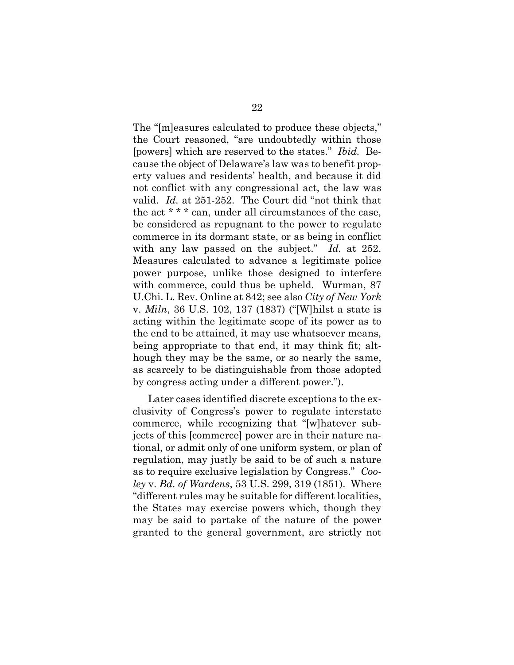<span id="page-31-2"></span>The "[m]easures calculated to produce these objects," the Court reasoned, "are undoubtedly within those [powers] which are reserved to the states." *Ibid.* Because the object of Delaware's law was to benefit property values and residents' health, and because it did not conflict with any congressional act, the law was valid. *Id.* at 251-252. The Court did "not think that the act \* \* \* can, under all circumstances of the case, be considered as repugnant to the power to regulate commerce in its dormant state, or as being in conflict with any law passed on the subject." *Id.* at 252. Measures calculated to advance a legitimate police power purpose, unlike those designed to interfere with commerce, could thus be upheld. Wurman, 87 U.Chi. L. Rev. Online at 842; see also *City of New York*  v. *Miln*, 36 U.S. 102, 137 (1837) ("[W]hilst a state is acting within the legitimate scope of its power as to the end to be attained, it may use whatsoever means, being appropriate to that end, it may think fit; although they may be the same, or so nearly the same, as scarcely to be distinguishable from those adopted by congress acting under a different power.").

<span id="page-31-3"></span><span id="page-31-1"></span><span id="page-31-0"></span>Later cases identified discrete exceptions to the exclusivity of Congress's power to regulate interstate commerce, while recognizing that "[w]hatever subjects of this [commerce] power are in their nature national, or admit only of one uniform system, or plan of regulation, may justly be said to be of such a nature as to require exclusive legislation by Congress." *Cooley* v. *Bd. of Wardens*, 53 U.S. 299, 319 (1851). Where "different rules may be suitable for different localities, the States may exercise powers which, though they may be said to partake of the nature of the power granted to the general government, are strictly not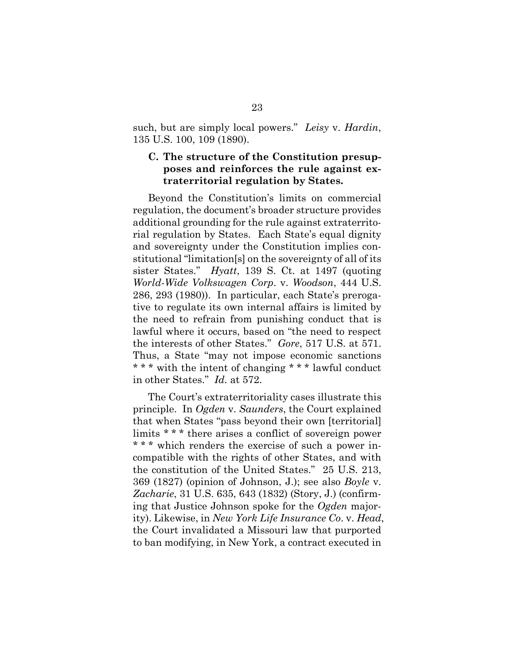such, but are simply local powers." *Leisy* v. *Hardin*, 135 U.S. 100, 109 (1890).

### <span id="page-32-3"></span>**C. The structure of the Constitution presupposes and reinforces the rule against extraterritorial regulation by States.**

<span id="page-32-6"></span><span id="page-32-2"></span>Beyond the Constitution's limits on commercial regulation, the document's broader structure provides additional grounding for the rule against extraterritorial regulation by States. Each State's equal dignity and sovereignty under the Constitution implies constitutional "limitation[s] on the sovereignty of all of its sister States." *Hyatt*, 139 S. Ct. at 1497 (quoting *World-Wide Volkswagen Corp*. v. *Woodson*, 444 U.S. 286, 293 (1980)). In particular, each State's prerogative to regulate its own internal affairs is limited by the need to refrain from punishing conduct that is lawful where it occurs, based on "the need to respect the interests of other States." *Gore*, 517 U.S. at 571. Thus, a State "may not impose economic sanctions \* \* \* with the intent of changing \* \* \* lawful conduct in other States." *Id.* at 572.

<span id="page-32-5"></span><span id="page-32-4"></span><span id="page-32-1"></span><span id="page-32-0"></span>The Court's extraterritoriality cases illustrate this principle. In *Ogden* v. *Saunders*, the Court explained that when States "pass beyond their own [territorial] limits \* \* \* there arises a conflict of sovereign power \* \* \* which renders the exercise of such a power incompatible with the rights of other States, and with the constitution of the United States." 25 U.S. 213, 369 (1827) (opinion of Johnson, J.); see also *Boyle* v. *Zacharie*, 31 U.S. 635, 643 (1832) (Story, J.) (confirming that Justice Johnson spoke for the *Ogden* majority). Likewise, in *New York Life Insurance Co*. v. *Head*, the Court invalidated a Missouri law that purported to ban modifying, in New York, a contract executed in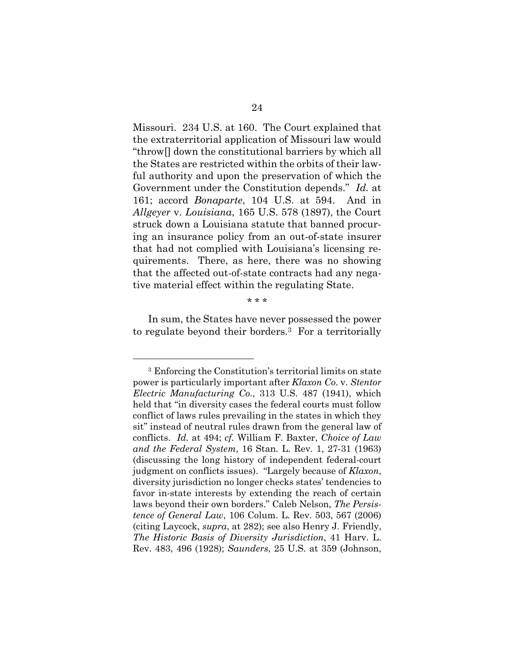<span id="page-33-4"></span><span id="page-33-1"></span><span id="page-33-0"></span>Missouri. 234 U.S. at 160. The Court explained that the extraterritorial application of Missouri law would "throw[] down the constitutional barriers by which all the States are restricted within the orbits of their lawful authority and upon the preservation of which the Government under the Constitution depends." *Id.* at 161; accord *Bonaparte*, 104 U.S. at 594. And in *Allgeyer* v. *Louisiana*, 165 U.S. 578 (1897), the Court struck down a Louisiana statute that banned procuring an insurance policy from an out-of-state insurer that had not complied with Louisiana's licensing requirements. There, as here, there was no showing that the affected out-of-state contracts had any negative material effect within the regulating State.

<span id="page-33-5"></span><span id="page-33-3"></span>\* \* \*

In sum, the States have never possessed the power to regulate beyond their borders.3 For a territorially

<span id="page-33-7"></span><span id="page-33-6"></span><span id="page-33-2"></span><sup>3</sup> Enforcing the Constitution's territorial limits on state power is particularly important after *Klaxon Co*. v. *Stentor Electric Manufacturing Co.*, 313 U.S. 487 (1941), which held that "in diversity cases the federal courts must follow conflict of laws rules prevailing in the states in which they sit" instead of neutral rules drawn from the general law of conflicts. *Id.* at 494; *cf.* William F. Baxter, *Choice of Law and the Federal System*, 16 Stan. L. Rev. 1, 27-31 (1963) (discussing the long history of independent federal-court judgment on conflicts issues). "Largely because of *Klaxon*, diversity jurisdiction no longer checks states' tendencies to favor in-state interests by extending the reach of certain laws beyond their own borders." Caleb Nelson, *The Persistence of General Law*, 106 Colum. L. Rev. 503, 567 (2006) (citing Laycock, *supra*, at 282); see also Henry J. Friendly, *The Historic Basis of Diversity Jurisdiction*, 41 Harv. L. Rev. 483, 496 (1928); *Saunders*, 25 U.S. at 359 (Johnson,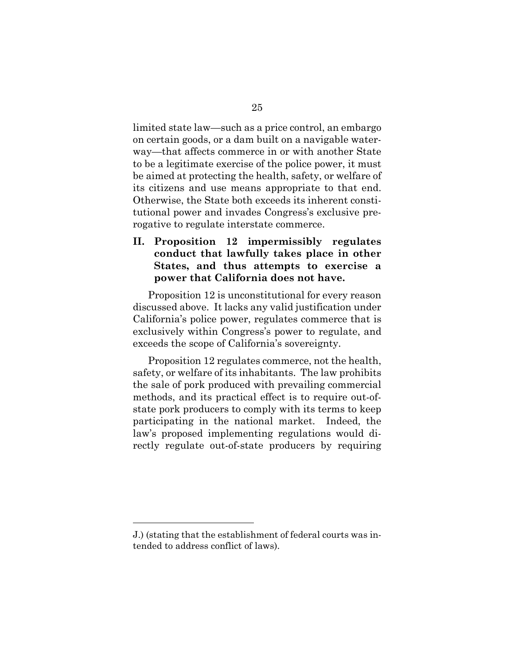limited state law—such as a price control, an embargo on certain goods, or a dam built on a navigable waterway—that affects commerce in or with another State to be a legitimate exercise of the police power, it must be aimed at protecting the health, safety, or welfare of its citizens and use means appropriate to that end. Otherwise, the State both exceeds its inherent constitutional power and invades Congress's exclusive prerogative to regulate interstate commerce.

**II. Proposition 12 impermissibly regulates conduct that lawfully takes place in other States, and thus attempts to exercise a power that California does not have.** 

Proposition 12 is unconstitutional for every reason discussed above. It lacks any valid justification under California's police power, regulates commerce that is exclusively within Congress's power to regulate, and exceeds the scope of California's sovereignty.

Proposition 12 regulates commerce, not the health, safety, or welfare of its inhabitants. The law prohibits the sale of pork produced with prevailing commercial methods, and its practical effect is to require out-ofstate pork producers to comply with its terms to keep participating in the national market. Indeed, the law's proposed implementing regulations would directly regulate out-of-state producers by requiring

J.) (stating that the establishment of federal courts was intended to address conflict of laws).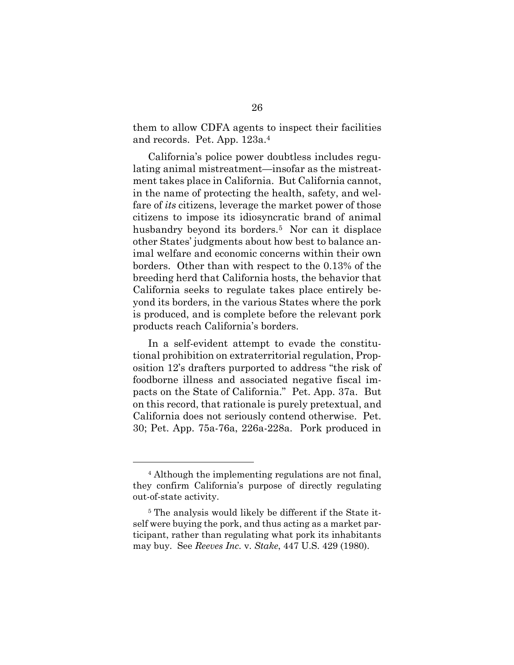them to allow CDFA agents to inspect their facilities and records. Pet. App. 123a.<sup>4</sup>

California's police power doubtless includes regulating animal mistreatment—insofar as the mistreatment takes place in California. But California cannot, in the name of protecting the health, safety, and welfare of *its* citizens, leverage the market power of those citizens to impose its idiosyncratic brand of animal husbandry beyond its borders.<sup>5</sup> Nor can it displace other States' judgments about how best to balance animal welfare and economic concerns within their own borders. Other than with respect to the 0.13% of the breeding herd that California hosts, the behavior that California seeks to regulate takes place entirely beyond its borders, in the various States where the pork is produced, and is complete before the relevant pork products reach California's borders.

In a self-evident attempt to evade the constitutional prohibition on extraterritorial regulation, Proposition 12's drafters purported to address "the risk of foodborne illness and associated negative fiscal impacts on the State of California." Pet. App. 37a. But on this record, that rationale is purely pretextual, and California does not seriously contend otherwise. Pet. 30; Pet. App. 75a-76a, 226a-228a. Pork produced in

<sup>4</sup> Although the implementing regulations are not final, they confirm California's purpose of directly regulating out-of-state activity.

<span id="page-35-0"></span><sup>5</sup> The analysis would likely be different if the State itself were buying the pork, and thus acting as a market participant, rather than regulating what pork its inhabitants may buy. See *Reeves Inc.* v. *Stake*, 447 U.S. 429 (1980).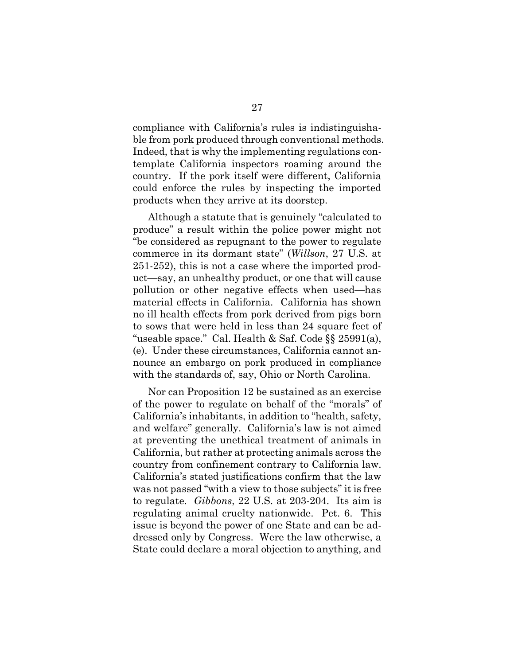compliance with California's rules is indistinguishable from pork produced through conventional methods. Indeed, that is why the implementing regulations contemplate California inspectors roaming around the country. If the pork itself were different, California could enforce the rules by inspecting the imported products when they arrive at its doorstep.

<span id="page-36-1"></span>Although a statute that is genuinely "calculated to produce" a result within the police power might not "be considered as repugnant to the power to regulate commerce in its dormant state" (*Willson*, 27 U.S. at 251-252), this is not a case where the imported product—say, an unhealthy product, or one that will cause pollution or other negative effects when used—has material effects in California. California has shown no ill health effects from pork derived from pigs born to sows that were held in less than 24 square feet of "useable space." Cal. Health & Saf. Code §§ 25991(a), (e). Under these circumstances, California cannot announce an embargo on pork produced in compliance with the standards of, say, Ohio or North Carolina.

<span id="page-36-2"></span><span id="page-36-0"></span>Nor can Proposition 12 be sustained as an exercise of the power to regulate on behalf of the "morals" of California's inhabitants, in addition to "health, safety, and welfare" generally. California's law is not aimed at preventing the unethical treatment of animals in California, but rather at protecting animals across the country from confinement contrary to California law. California's stated justifications confirm that the law was not passed "with a view to those subjects" it is free to regulate. *Gibbons*, 22 U.S. at 203-204. Its aim is regulating animal cruelty nationwide. Pet. 6. This issue is beyond the power of one State and can be addressed only by Congress. Were the law otherwise, a State could declare a moral objection to anything, and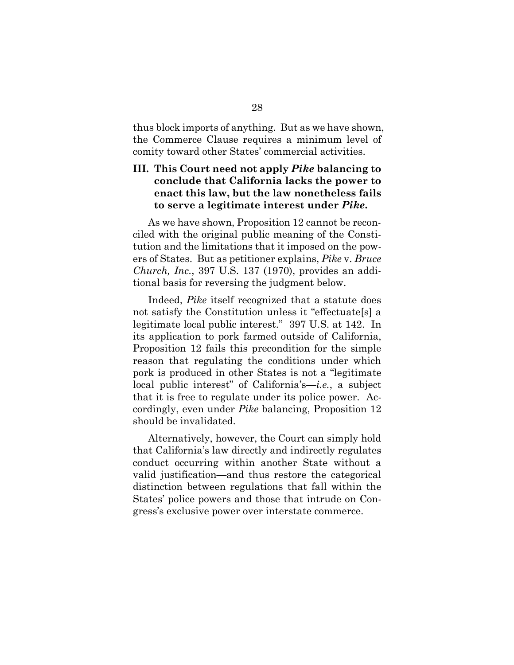thus block imports of anything. But as we have shown, the Commerce Clause requires a minimum level of comity toward other States' commercial activities.

## <span id="page-37-0"></span>**III. This Court need not apply** *Pike* **balancing to conclude that California lacks the power to enact this law, but the law nonetheless fails to serve a legitimate interest under** *Pike***.**

As we have shown, Proposition 12 cannot be reconciled with the original public meaning of the Constitution and the limitations that it imposed on the powers of States. But as petitioner explains, *Pike* v. *Bruce Church, Inc.*, 397 U.S. 137 (1970), provides an additional basis for reversing the judgment below.

Indeed, *Pike* itself recognized that a statute does not satisfy the Constitution unless it "effectuate[s] a legitimate local public interest." 397 U.S. at 142. In its application to pork farmed outside of California, Proposition 12 fails this precondition for the simple reason that regulating the conditions under which pork is produced in other States is not a "legitimate local public interest" of California's—*i.e.*, a subject that it is free to regulate under its police power. Accordingly, even under *Pike* balancing, Proposition 12 should be invalidated.

Alternatively, however, the Court can simply hold that California's law directly and indirectly regulates conduct occurring within another State without a valid justification—and thus restore the categorical distinction between regulations that fall within the States' police powers and those that intrude on Congress's exclusive power over interstate commerce.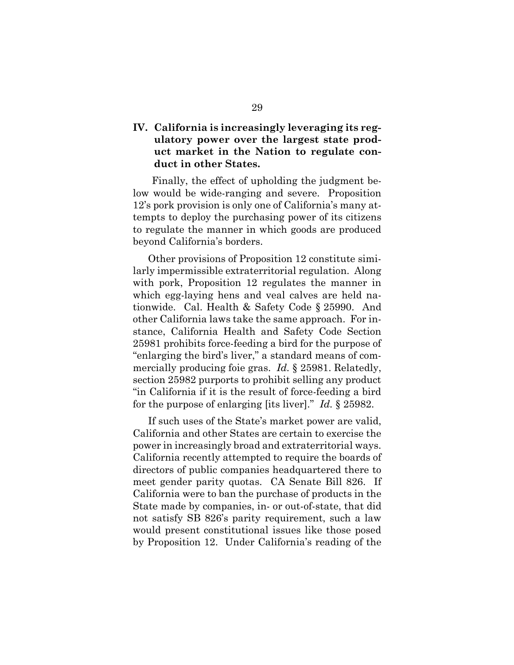## **IV. California is increasingly leveraging its regulatory power over the largest state product market in the Nation to regulate conduct in other States.**

Finally, the effect of upholding the judgment below would be wide-ranging and severe. Proposition 12's pork provision is only one of California's many attempts to deploy the purchasing power of its citizens to regulate the manner in which goods are produced beyond California's borders.

<span id="page-38-2"></span><span id="page-38-0"></span>Other provisions of Proposition 12 constitute similarly impermissible extraterritorial regulation. Along with pork, Proposition 12 regulates the manner in which egg-laying hens and veal calves are held nationwide. Cal. Health & Safety Code § 25990. And other California laws take the same approach. For instance, California Health and Safety Code Section 25981 prohibits force-feeding a bird for the purpose of "enlarging the bird's liver," a standard means of commercially producing foie gras. *Id.* § 25981. Relatedly, section 25982 purports to prohibit selling any product "in California if it is the result of force-feeding a bird for the purpose of enlarging [its liver]." *Id.* § 25982.

<span id="page-38-1"></span>If such uses of the State's market power are valid, California and other States are certain to exercise the power in increasingly broad and extraterritorial ways. California recently attempted to require the boards of directors of public companies headquartered there to meet gender parity quotas. CA Senate Bill 826. If California were to ban the purchase of products in the State made by companies, in- or out-of-state, that did not satisfy SB 826's parity requirement, such a law would present constitutional issues like those posed by Proposition 12. Under California's reading of the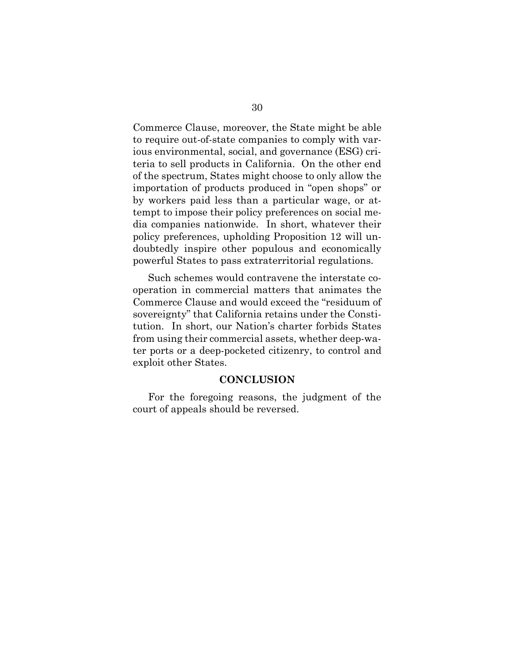Commerce Clause, moreover, the State might be able to require out-of-state companies to comply with various environmental, social, and governance (ESG) criteria to sell products in California. On the other end of the spectrum, States might choose to only allow the importation of products produced in "open shops" or by workers paid less than a particular wage, or attempt to impose their policy preferences on social media companies nationwide. In short, whatever their policy preferences, upholding Proposition 12 will undoubtedly inspire other populous and economically powerful States to pass extraterritorial regulations.

Such schemes would contravene the interstate cooperation in commercial matters that animates the Commerce Clause and would exceed the "residuum of sovereignty" that California retains under the Constitution. In short, our Nation's charter forbids States from using their commercial assets, whether deep-water ports or a deep-pocketed citizenry, to control and exploit other States.

#### **CONCLUSION**

For the foregoing reasons, the judgment of the court of appeals should be reversed.